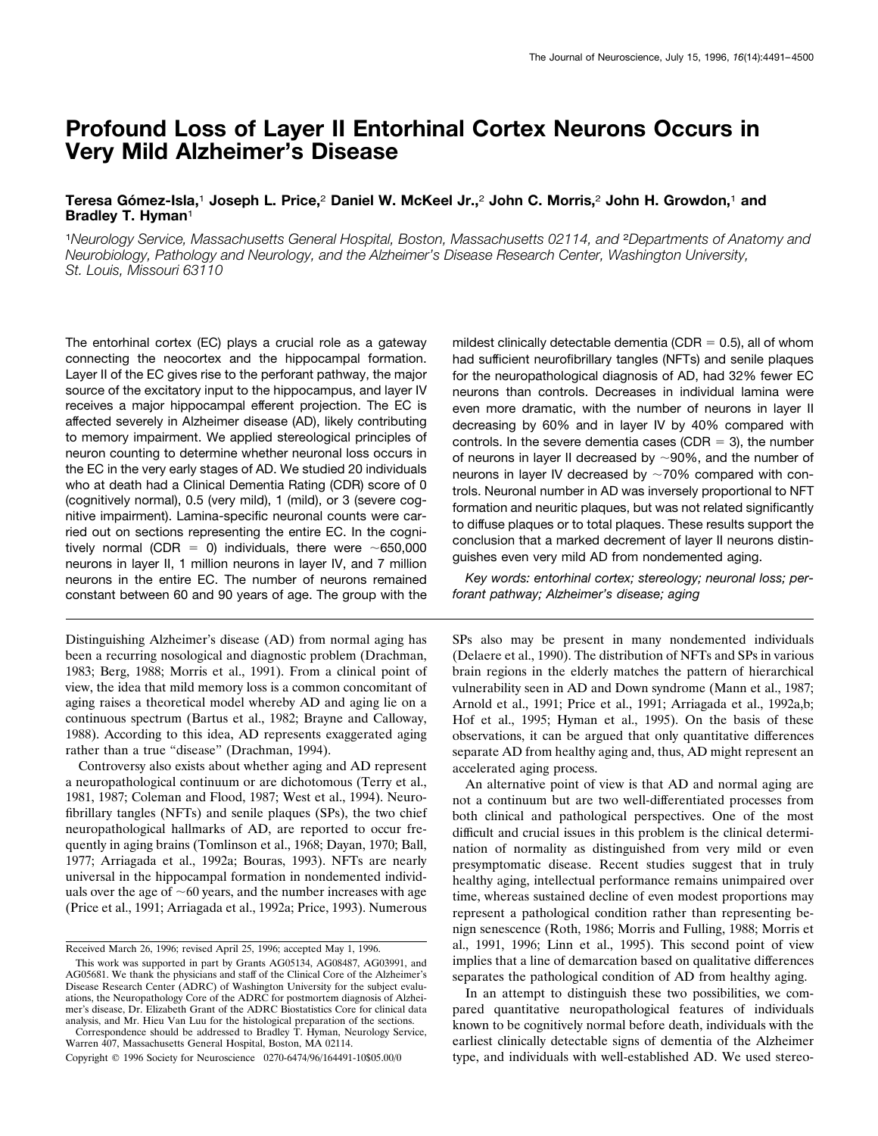# **Profound Loss of Layer II Entorhinal Cortex Neurons Occurs in Very Mild Alzheimer's Disease**

## **Teresa Go´ mez-Isla,**<sup>1</sup> **Joseph L. Price,**<sup>2</sup> **Daniel W. McKeel Jr.,**<sup>2</sup> **John C. Morris,**<sup>2</sup> **John H. Growdon,**<sup>1</sup> **and Bradley T. Hyman**<sup>1</sup>

<sup>1</sup>*Neurology Service, Massachusetts General Hospital, Boston, Massachusetts 02114, and* <sup>2</sup>*Departments of Anatomy and Neurobiology, Pathology and Neurology, and the Alzheimer's Disease Research Center, Washington University, St. Louis, Missouri 63110*

The entorhinal cortex (EC) plays a crucial role as a gateway connecting the neocortex and the hippocampal formation. Layer II of the EC gives rise to the perforant pathway, the major source of the excitatory input to the hippocampus, and layer IV receives a major hippocampal efferent projection. The EC is affected severely in Alzheimer disease (AD), likely contributing to memory impairment. We applied stereological principles of neuron counting to determine whether neuronal loss occurs in the EC in the very early stages of AD. We studied 20 individuals who at death had a Clinical Dementia Rating (CDR) score of 0 (cognitively normal), 0.5 (very mild), 1 (mild), or 3 (severe cognitive impairment). Lamina-specific neuronal counts were carried out on sections representing the entire EC. In the cognitively normal (CDR = 0) individuals, there were  $\sim$ 650,000 neurons in layer II, 1 million neurons in layer IV, and 7 million neurons in the entire EC. The number of neurons remained constant between 60 and 90 years of age. The group with the

Distinguishing Alzheimer's disease (AD) from normal aging has been a recurring nosological and diagnostic problem (Drachman, 1983; Berg, 1988; Morris et al., 1991). From a clinical point of view, the idea that mild memory loss is a common concomitant of aging raises a theoretical model whereby AD and aging lie on a continuous spectrum (Bartus et al., 1982; Brayne and Calloway, 1988). According to this idea, AD represents exaggerated aging rather than a true "disease" (Drachman, 1994).

Controversy also exists about whether aging and AD represent a neuropathological continuum or are dichotomous (Terry et al., 1981, 1987; Coleman and Flood, 1987; West et al., 1994). Neurofibrillary tangles (NFTs) and senile plaques (SPs), the two chief neuropathological hallmarks of AD, are reported to occur frequently in aging brains (Tomlinson et al., 1968; Dayan, 1970; Ball, 1977; Arriagada et al., 1992a; Bouras, 1993). NFTs are nearly universal in the hippocampal formation in nondemented individuals over the age of  $~60$  years, and the number increases with age (Price et al., 1991; Arriagada et al., 1992a; Price, 1993). Numerous mildest clinically detectable dementia (CDR  $= 0.5$ ), all of whom had sufficient neurofibrillary tangles (NFTs) and senile plaques for the neuropathological diagnosis of AD, had 32% fewer EC neurons than controls. Decreases in individual lamina were even more dramatic, with the number of neurons in layer II decreasing by 60% and in layer IV by 40% compared with controls. In the severe dementia cases (CDR  $=$  3), the number of neurons in layer II decreased by  $\sim$ 90%, and the number of neurons in layer IV decreased by  $\sim$ 70% compared with controls. Neuronal number in AD was inversely proportional to NFT formation and neuritic plaques, but was not related significantly to diffuse plaques or to total plaques. These results support the conclusion that a marked decrement of layer II neurons distinguishes even very mild AD from nondemented aging.

*Key words: entorhinal cortex; stereology; neuronal loss; perforant pathway; Alzheimer's disease; aging*

SPs also may be present in many nondemented individuals (Delaere et al., 1990). The distribution of NFTs and SPs in various brain regions in the elderly matches the pattern of hierarchical vulnerability seen in AD and Down syndrome (Mann et al., 1987; Arnold et al., 1991; Price et al., 1991; Arriagada et al., 1992a,b; Hof et al., 1995; Hyman et al., 1995). On the basis of these observations, it can be argued that only quantitative differences separate AD from healthy aging and, thus, AD might represent an accelerated aging process.

An alternative point of view is that AD and normal aging are not a continuum but are two well-differentiated processes from both clinical and pathological perspectives. One of the most difficult and crucial issues in this problem is the clinical determination of normality as distinguished from very mild or even presymptomatic disease. Recent studies suggest that in truly healthy aging, intellectual performance remains unimpaired over time, whereas sustained decline of even modest proportions may represent a pathological condition rather than representing benign senescence (Roth, 1986; Morris and Fulling, 1988; Morris et al., 1991, 1996; Linn et al., 1995). This second point of view implies that a line of demarcation based on qualitative differences separates the pathological condition of AD from healthy aging.

In an attempt to distinguish these two possibilities, we compared quantitative neuropathological features of individuals known to be cognitively normal before death, individuals with the earliest clinically detectable signs of dementia of the Alzheimer type, and individuals with well-established AD. We used stereo-

Received March 26, 1996; revised April 25, 1996; accepted May 1, 1996.

This work was supported in part by Grants AG05134, AG08487, AG03991, and AG05681. We thank the physicians and staff of the Clinical Core of the Alzheimer's Disease Research Center (ADRC) of Washington University for the subject evaluations, the Neuropathology Core of the ADRC for postmortem diagnosis of Alzheimer's disease, Dr. Elizabeth Grant of the ADRC Biostatistics Core for clinical data analysis, and Mr. Hieu Van Luu for the histological preparation of the sections.

Correspondence should be addressed to Bradley T. Hyman, Neurology Service, Warren 407, Massachusetts General Hospital, Boston, MA 02114.

Copyright © 1996 Society for Neuroscience 0270-6474/96/164491-10\$05.00/0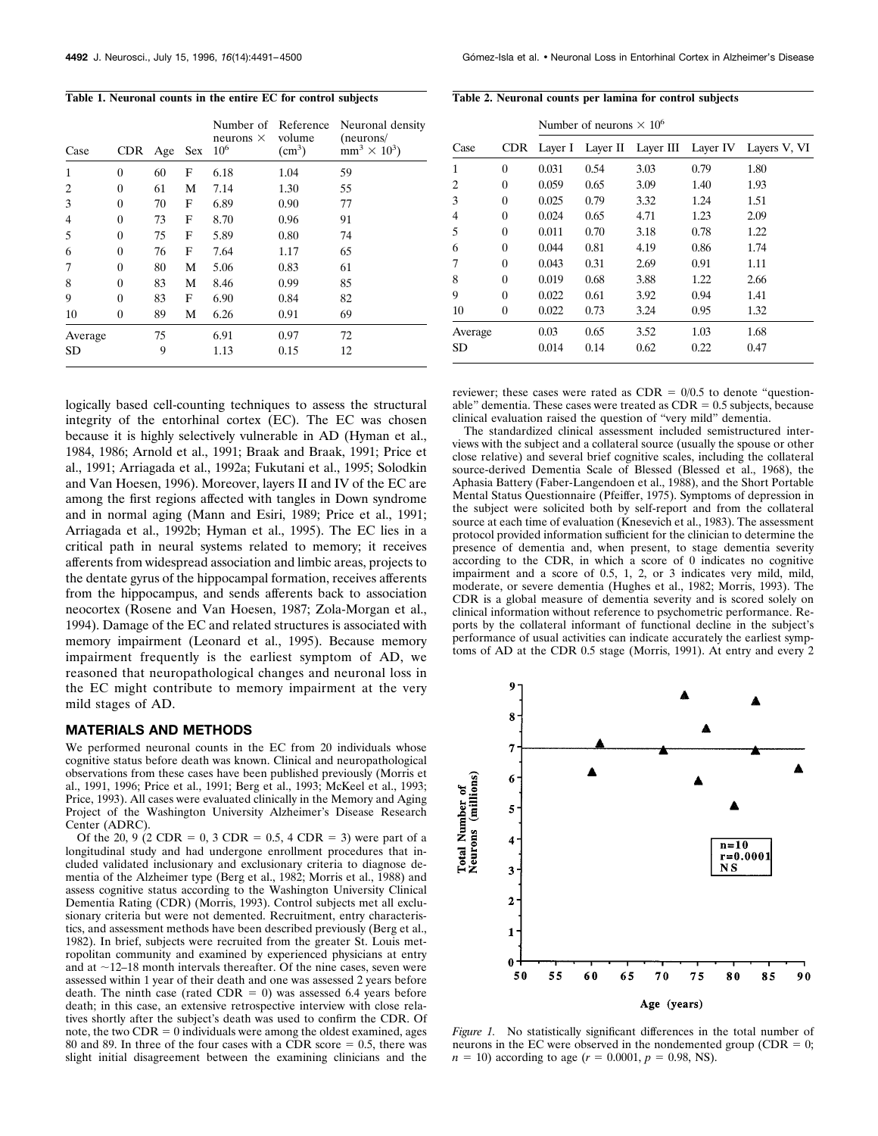**Table 1. Neuronal counts in the entire EC for control subjects**

| Case      | <b>CDR</b> | Age | <b>Sex</b> | Number of Reference<br>neurons $\times$<br>$10^{6}$ | volume<br>(cm <sup>3</sup> ) | Neuronal density<br>(newrons/<br>$mm^3 \times 10^3$ |
|-----------|------------|-----|------------|-----------------------------------------------------|------------------------------|-----------------------------------------------------|
| 1         | $\Omega$   | 60  | F          | 6.18                                                | 1.04                         | 59                                                  |
| 2         | $\theta$   | 61  | М          | 7.14                                                | 1.30                         | 55                                                  |
| 3         | $\theta$   | 70  | F          | 6.89                                                | 0.90                         | 77                                                  |
| 4         | $\Omega$   | 73  | F          | 8.70                                                | 0.96                         | 91                                                  |
| 5         | $\theta$   | 75  | F          | 5.89                                                | 0.80                         | 74                                                  |
| 6         | $\theta$   | 76  | F          | 7.64                                                | 1.17                         | 65                                                  |
| 7         | $\Omega$   | 80  | М          | 5.06                                                | 0.83                         | 61                                                  |
| 8         | $\theta$   | 83  | М          | 8.46                                                | 0.99                         | 85                                                  |
| 9         | $\theta$   | 83  | F          | 6.90                                                | 0.84                         | 82                                                  |
| 10        | $\theta$   | 89  | М          | 6.26                                                | 0.91                         | 69                                                  |
| Average   |            | 75  |            | 6.91                                                | 0.97                         | 72                                                  |
| <b>SD</b> |            | 9   |            | 1.13                                                | 0.15                         | 12                                                  |

logically based cell-counting techniques to assess the structural integrity of the entorhinal cortex (EC). The EC was chosen because it is highly selectively vulnerable in AD (Hyman et al., 1984, 1986; Arnold et al., 1991; Braak and Braak, 1991; Price et al., 1991; Arriagada et al., 1992a; Fukutani et al., 1995; Solodkin and Van Hoesen, 1996). Moreover, layers II and IV of the EC are among the first regions affected with tangles in Down syndrome and in normal aging (Mann and Esiri, 1989; Price et al., 1991; Arriagada et al., 1992b; Hyman et al., 1995). The EC lies in a critical path in neural systems related to memory; it receives afferents from widespread association and limbic areas, projects to the dentate gyrus of the hippocampal formation, receives afferents from the hippocampus, and sends afferents back to association neocortex (Rosene and Van Hoesen, 1987; Zola-Morgan et al., 1994). Damage of the EC and related structures is associated with memory impairment (Leonard et al., 1995). Because memory impairment frequently is the earliest symptom of AD, we reasoned that neuropathological changes and neuronal loss in the EC might contribute to memory impairment at the very mild stages of AD.

#### **MATERIALS AND METHODS**

We performed neuronal counts in the EC from 20 individuals whose cognitive status before death was known. Clinical and neuropathological observations from these cases have been published previously (Morris et al., 1991, 1996; Price et al., 1991; Berg et al., 1993; McKeel et al., 1993; Price, 1993). All cases were evaluated clinically in the Memory and Aging Project of the Washington University Alzheimer's Disease Research Center (ADRC).

Of the 20, 9 (2 CDR = 0, 3 CDR = 0.5, 4 CDR = 3) were part of a longitudinal study and had undergone enrollment procedures that included validated inclusionary and exclusionary criteria to diagnose dementia of the Alzheimer type (Berg et al., 1982; Morris et al., 1988) and assess cognitive status according to the Washington University Clinical Dementia Rating (CDR) (Morris, 1993). Control subjects met all exclusionary criteria but were not demented. Recruitment, entry characteristics, and assessment methods have been described previously (Berg et al., 1982). In brief, subjects were recruited from the greater St. Louis metropolitan community and examined by experienced physicians at entry and at  $\sim$ 12–18 month intervals thereafter. Of the nine cases, seven were assessed within 1 year of their death and one was assessed 2 years before death. The ninth case (rated CDR = 0) was assessed 6.4 years before death; in this case, an extensive retrospective interview with close relatives shortly after the subject's death was used to confirm the CDR. Of note, the two  $CDR = 0$  individuals were among the oldest examined, ages 80 and 89. In three of the four cases with a CDR score  $= 0.5$ , there was slight initial disagreement between the examining clinicians and the

| Table 2. Neuronal counts per lamina for control subjects |  |  |  |  |  |  |
|----------------------------------------------------------|--|--|--|--|--|--|
|----------------------------------------------------------|--|--|--|--|--|--|

|         |            | Number of neurons $\times 10^6$ |      |                             |      |              |  |  |  |
|---------|------------|---------------------------------|------|-----------------------------|------|--------------|--|--|--|
| Case    | <b>CDR</b> | Laver I                         |      | Layer II Layer III Layer IV |      | Layers V, VI |  |  |  |
| 1       | $\theta$   | 0.031                           | 0.54 | 3.03                        | 0.79 | 1.80         |  |  |  |
| 2       | 0          | 0.059                           | 0.65 | 3.09                        | 1.40 | 1.93         |  |  |  |
| 3       | 0          | 0.025                           | 0.79 | 3.32                        | 1.24 | 1.51         |  |  |  |
| 4       | $\theta$   | 0.024                           | 0.65 | 4.71                        | 1.23 | 2.09         |  |  |  |
| 5       | 0          | 0.011                           | 0.70 | 3.18                        | 0.78 | 1.22         |  |  |  |
| 6       | 0          | 0.044                           | 0.81 | 4.19                        | 0.86 | 1.74         |  |  |  |
| 7       | $\theta$   | 0.043                           | 0.31 | 2.69                        | 0.91 | 1.11         |  |  |  |
| 8       | 0          | 0.019                           | 0.68 | 3.88                        | 1.22 | 2.66         |  |  |  |
| 9       | $\theta$   | 0.022                           | 0.61 | 3.92                        | 0.94 | 1.41         |  |  |  |
| 10      | 0          | 0.022                           | 0.73 | 3.24                        | 0.95 | 1.32         |  |  |  |
| Average |            | 0.03                            | 0.65 | 3.52                        | 1.03 | 1.68         |  |  |  |
| SD      |            | 0.014                           | 0.14 | 0.62                        | 0.22 | 0.47         |  |  |  |

reviewer; these cases were rated as  $CDR = 0/0.5$  to denote "questionable" dementia. These cases were treated as  $CDR = 0.5$  subjects, because clinical evaluation raised the question of "very mild" dementia.

The standardized clinical assessment included semistructured interviews with the subject and a collateral source (usually the spouse or other close relative) and several brief cognitive scales, including the collateral source-derived Dementia Scale of Blessed (Blessed et al., 1968), the Aphasia Battery (Faber-Langendoen et al., 1988), and the Short Portable Mental Status Questionnaire (Pfeiffer, 1975). Symptoms of depression in the subject were solicited both by self-report and from the collateral source at each time of evaluation (Knesevich et al., 1983). The assessment protocol provided information sufficient for the clinician to determine the presence of dementia and, when present, to stage dementia severity according to the CDR, in which a score of 0 indicates no cognitive impairment and a score of 0.5, 1, 2, or 3 indicates very mild, mild, moderate, or severe dementia (Hughes et al., 1982; Morris, 1993). The CDR is a global measure of dementia severity and is scored solely on clinical information without reference to psychometric performance. Reports by the collateral informant of functional decline in the subject's performance of usual activities can indicate accurately the earliest symptoms of AD at the CDR 0.5 stage (Morris, 1991). At entry and every 2



*Figure 1.* No statistically significant differences in the total number of neurons in the EC were observed in the nondemented group (CDR  $= 0$ ;  $n = 10$ ) according to age ( $r = 0.0001$ ,  $p = 0.98$ , NS).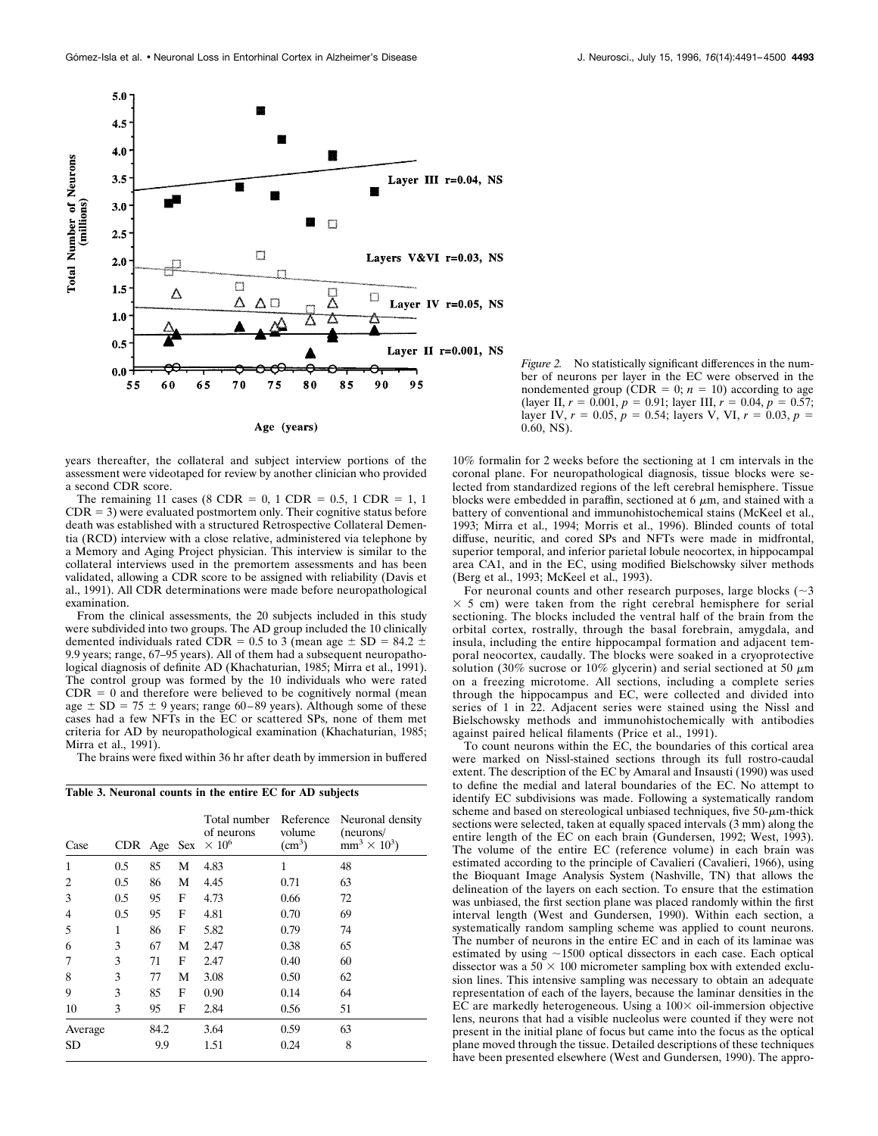

*Figure 2.* No statistically significant differences in the number of neurons per layer in the EC were observed in the nondemented group (CDR = 0;  $n = 10$ ) according to age (layer II,  $r = 0.001$ ,  $p = 0.91$ ; layer III,  $r = 0.04$ ,  $p = 0.57$ ; layer IV,  $r = 0.05$ ,  $p = 0.54$ ; layers V, VI,  $r = 0.03$ ,  $p =$ 0.60, NS).

years thereafter, the collateral and subject interview portions of the assessment were videotaped for review by another clinician who provided a second CDR score.

The remaining 11 cases (8 CDR =  $0, 1$  CDR =  $0.5, 1$  CDR =  $1, 1$  $CDR = 3$ ) were evaluated postmortem only. Their cognitive status before death was established with a structured Retrospective Collateral Dementia (RCD) interview with a close relative, administered via telephone by a Memory and Aging Project physician. This interview is similar to the collateral interviews used in the premortem assessments and has been validated, allowing a CDR score to be assigned with reliability (Davis et al., 1991). All CDR determinations were made before neuropathological examination.

From the clinical assessments, the 20 subjects included in this study were subdivided into two groups. The AD group included the 10 clinically demented individuals rated CDR = 0.5 to 3 (mean age  $\pm$  SD = 84.2  $\pm$ 9.9 years; range, 67–95 years). All of them had a subsequent neuropathological diagnosis of definite AD (Khachaturian, 1985; Mirra et al., 1991). The control group was formed by the 10 individuals who were rated  $CDR = 0$  and therefore were believed to be cognitively normal (mean age  $\pm$  SD = 75  $\pm$  9 years; range 60–89 years). Although some of these cases had a few NFTs in the EC or scattered SPs, none of them met criteria for AD by neuropathological examination (Khachaturian, 1985; Mirra et al., 1991).

The brains were fixed within 36 hr after death by immersion in buffered

|  |  | Table 3. Neuronal counts in the entire EC for AD subjects |  |  |  |  |  |  |  |  |
|--|--|-----------------------------------------------------------|--|--|--|--|--|--|--|--|
|--|--|-----------------------------------------------------------|--|--|--|--|--|--|--|--|

| Case           | CDR Age |      | <b>Sex</b> | Total number<br>of neurons<br>$\times 10^6$ | Reference<br>volume<br>(cm <sup>3</sup> ) | Neuronal density<br>(neurons/<br>$mm^3 \times 10^3$ |
|----------------|---------|------|------------|---------------------------------------------|-------------------------------------------|-----------------------------------------------------|
| 1              | 0.5     | 85   | М          | 4.83                                        | 1                                         | 48                                                  |
| $\overline{2}$ | 0.5     | 86   | М          | 4.45                                        | 0.71                                      | 63                                                  |
| 3              | 0.5     | 95   | F          | 4.73                                        | 0.66                                      | 72                                                  |
| 4              | 0.5     | 95   | F          | 4.81                                        | 0.70                                      | 69                                                  |
| 5              | 1       | 86   | F          | 5.82                                        | 0.79                                      | 74                                                  |
| 6              | 3       | 67   | М          | 2.47                                        | 0.38                                      | 65                                                  |
| 7              | 3       | 71   | F          | 2.47                                        | 0.40                                      | 60                                                  |
| 8              | 3       | 77   | М          | 3.08                                        | 0.50                                      | 62                                                  |
| 9              | 3       | 85   | F          | 0.90                                        | 0.14                                      | 64                                                  |
| 10             | 3       | 95   | F          | 2.84                                        | 0.56                                      | 51                                                  |
| Average        |         | 84.2 |            | 3.64                                        | 0.59                                      | 63                                                  |
| <b>SD</b>      |         | 9.9  |            | 1.51                                        | 0.24                                      | 8                                                   |

10% formalin for 2 weeks before the sectioning at 1 cm intervals in the coronal plane. For neuropathological diagnosis, tissue blocks were selected from standardized regions of the left cerebral hemisphere. Tissue blocks were embedded in paraffin, sectioned at  $6 \mu m$ , and stained with a battery of conventional and immunohistochemical stains (McKeel et al., 1993; Mirra et al., 1994; Morris et al., 1996). Blinded counts of total diffuse, neuritic, and cored SPs and NFTs were made in midfrontal, superior temporal, and inferior parietal lobule neocortex, in hippocampal area CA1, and in the EC, using modified Bielschowsky silver methods (Berg et al., 1993; McKeel et al., 1993).

For neuronal counts and other research purposes, large blocks  $(\sim 3)$  $\times$  5 cm) were taken from the right cerebral hemisphere for serial sectioning. The blocks included the ventral half of the brain from the orbital cortex, rostrally, through the basal forebrain, amygdala, and insula, including the entire hippocampal formation and adjacent temporal neocortex, caudally. The blocks were soaked in a cryoprotective solution (30% sucrose or 10% glycerin) and serial sectioned at 50  $\mu$ m on a freezing microtome. All sections, including a complete series through the hippocampus and EC, were collected and divided into series of 1 in 22. Adjacent series were stained using the Nissl and Bielschowsky methods and immunohistochemically with antibodies against paired helical filaments (Price et al., 1991).

To count neurons within the EC, the boundaries of this cortical area were marked on Nissl-stained sections through its full rostro-caudal extent. The description of the EC by Amaral and Insausti (1990) was used to define the medial and lateral boundaries of the EC. No attempt to identify EC subdivisions was made. Following a systematically random scheme and based on stereological unbiased techniques, five  $50-\mu m$ -thick sections were selected, taken at equally spaced intervals (3 mm) along the entire length of the EC on each brain (Gundersen, 1992; West, 1993). The volume of the entire EC (reference volume) in each brain was estimated according to the principle of Cavalieri (Cavalieri, 1966), using the Bioquant Image Analysis System (Nashville, TN) that allows the delineation of the layers on each section. To ensure that the estimation was unbiased, the first section plane was placed randomly within the first interval length (West and Gundersen, 1990). Within each section, a systematically random sampling scheme was applied to count neurons. The number of neurons in the entire EC and in each of its laminae was estimated by using  $\sim$ 1500 optical dissectors in each case. Each optical dissector was a  $50 \times 100$  micrometer sampling box with extended exclusion lines. This intensive sampling was necessary to obtain an adequate representation of each of the layers, because the laminar densities in the EC are markedly heterogeneous. Using a  $100 \times$  oil-immersion objective lens, neurons that had a visible nucleolus were counted if they were not present in the initial plane of focus but came into the focus as the optical plane moved through the tissue. Detailed descriptions of these techniques have been presented elsewhere (West and Gundersen, 1990). The appro-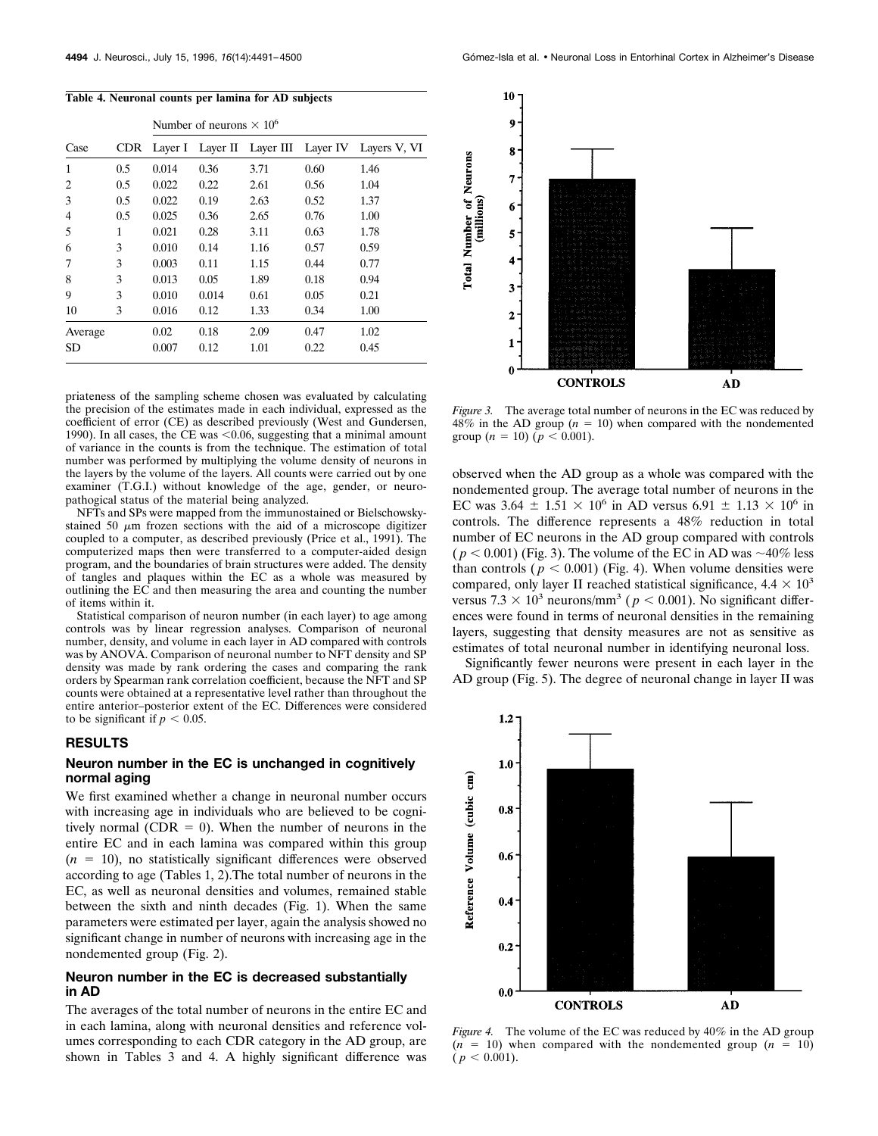|         |      |         | Number of neurons $\times 10^6$ |      |                             |              |  |  |  |
|---------|------|---------|---------------------------------|------|-----------------------------|--------------|--|--|--|
| Case    | CDR. | Laver I |                                 |      | Layer II Layer III Layer IV | Layers V, VI |  |  |  |
| 1       | 0.5  | 0.014   | 0.36                            | 3.71 | 0.60                        | 1.46         |  |  |  |
| 2       | 0.5  | 0.022   | 0.22                            | 2.61 | 0.56                        | 1.04         |  |  |  |
| 3       | 0.5  | 0.022   | 0.19                            | 2.63 | 0.52                        | 1.37         |  |  |  |
| 4       | 0.5  | 0.025   | 0.36                            | 2.65 | 0.76                        | 1.00         |  |  |  |
| 5       | 1    | 0.021   | 0.28                            | 3.11 | 0.63                        | 1.78         |  |  |  |
| 6       | 3    | 0.010   | 0.14                            | 1.16 | 0.57                        | 0.59         |  |  |  |
| 7       | 3    | 0.003   | 0.11                            | 1.15 | 0.44                        | 0.77         |  |  |  |
| 8       | 3    | 0.013   | 0.05                            | 1.89 | 0.18                        | 0.94         |  |  |  |
| 9       | 3    | 0.010   | 0.014                           | 0.61 | 0.05                        | 0.21         |  |  |  |
| 10      | 3    | 0.016   | 0.12                            | 1.33 | 0.34                        | 1.00         |  |  |  |
| Average |      | 0.02    | 0.18                            | 2.09 | 0.47                        | 1.02         |  |  |  |
| SD      |      | 0.007   | 0.12                            | 1.01 | 0.22                        | 0.45         |  |  |  |

#### **Table 4. Neuronal counts per lamina for AD subjects**

priateness of the sampling scheme chosen was evaluated by calculating the precision of the estimates made in each individual, expressed as the coefficient of error (CE) as described previously (West and Gundersen, 1990). In all cases, the  $\overline{\text{CE}}$  was <0.06, suggesting that a minimal amount of variance in the counts is from the technique. The estimation of total number was performed by multiplying the volume density of neurons in the layers by the volume of the layers. All counts were carried out by one examiner (T.G.I.) without knowledge of the age, gender, or neuropathogical status of the material being analyzed.

NFTs and SPs were mapped from the immunostained or Bielschowskystained 50  $\mu$ m frozen sections with the aid of a microscope digitizer coupled to a computer, as described previously (Price et al., 1991). The computerized maps then were transferred to a computer-aided design program, and the boundaries of brain structures were added. The density of tangles and plaques within the EC as a whole was measured by outlining the EC and then measuring the area and counting the number of items within it.

Statistical comparison of neuron number (in each layer) to age among controls was by linear regression analyses. Comparison of neuronal number, density, and volume in each layer in AD compared with controls was by ANOVA. Comparison of neuronal number to NFT density and SP density was made by rank ordering the cases and comparing the rank orders by Spearman rank correlation coefficient, because the NFT and SP counts were obtained at a representative level rather than throughout the entire anterior–posterior extent of the EC. Differences were considered to be significant if  $p < 0.05$ .

## **RESULTS**

## **Neuron number in the EC is unchanged in cognitively normal aging**

We first examined whether a change in neuronal number occurs with increasing age in individuals who are believed to be cognitively normal (CDR  $= 0$ ). When the number of neurons in the entire EC and in each lamina was compared within this group  $(n = 10)$ , no statistically significant differences were observed according to age (Tables 1, 2).The total number of neurons in the EC, as well as neuronal densities and volumes, remained stable between the sixth and ninth decades (Fig. 1). When the same parameters were estimated per layer, again the analysis showed no significant change in number of neurons with increasing age in the nondemented group (Fig. 2).

## **Neuron number in the EC is decreased substantially in AD**

The averages of the total number of neurons in the entire EC and in each lamina, along with neuronal densities and reference volumes corresponding to each CDR category in the AD group, are shown in Tables 3 and 4. A highly significant difference was



*Figure 3.* The average total number of neurons in the EC was reduced by  $48\%$  in the AD group ( $n = 10$ ) when compared with the nondemented group  $(n = 10)$   $(p < 0.001)$ .

observed when the AD group as a whole was compared with the nondemented group. The average total number of neurons in the EC was 3.64  $\pm$  1.51  $\times$  10<sup>6</sup> in AD versus 6.91  $\pm$  1.13  $\times$  10<sup>6</sup> in controls. The difference represents a 48% reduction in total number of EC neurons in the AD group compared with controls  $(p < 0.001)$  (Fig. 3). The volume of the EC in AD was  $\sim 40\%$  less than controls ( $p < 0.001$ ) (Fig. 4). When volume densities were compared, only layer II reached statistical significance,  $4.4 \times 10^3$ versus  $7.3 \times 10^3$  neurons/mm<sup>3</sup> ( $p < 0.001$ ). No significant differences were found in terms of neuronal densities in the remaining layers, suggesting that density measures are not as sensitive as estimates of total neuronal number in identifying neuronal loss.

Significantly fewer neurons were present in each layer in the AD group (Fig. 5). The degree of neuronal change in layer II was



*Figure 4.* The volume of the EC was reduced by 40% in the AD group  $(n = 10)$  when compared with the nondemented group  $(n = 10)$  $(p < 0.001)$ .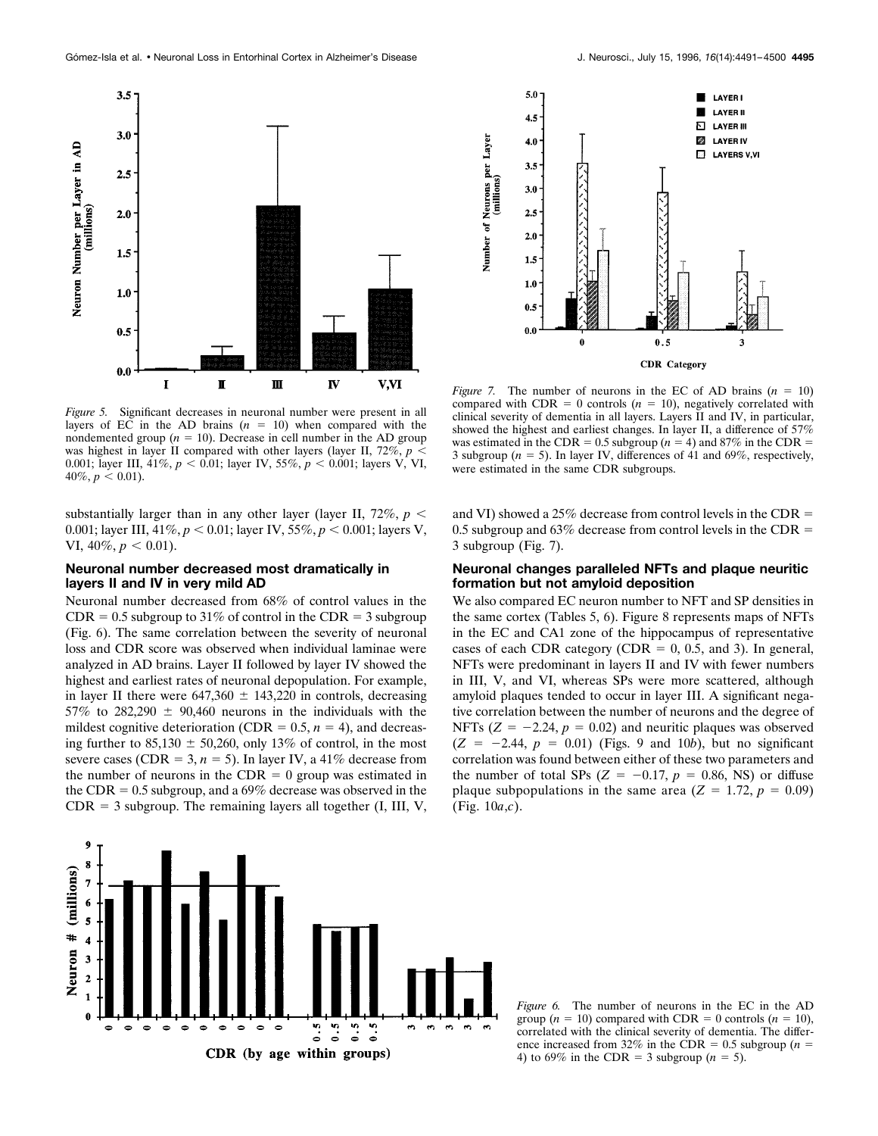

*Figure 5.* Significant decreases in neuronal number were present in all layers of EC in the AD brains  $(n = 10)$  when compared with the nondemented group  $(n = 10)$ . Decrease in cell number in the AD group was highest in layer II compared with other layers (layer II,  $72\%, p <$ 0.001; layer III, 41%,  $p < 0.01$ ; layer IV, 55%,  $p < 0.001$ ; layers V, VI,  $40\%, p < 0.01$ ).

substantially larger than in any other layer (layer II,  $72\%, p <$ 0.001; layer III,  $41\%, p < 0.01$ ; layer IV,  $55\%, p < 0.001$ ; layers V, VI,  $40\%, p < 0.01$ ).

## **Neuronal number decreased most dramatically in layers II and IV in very mild AD**

Neuronal number decreased from 68% of control values in the  $CDR = 0.5$  subgroup to 31% of control in the CDR = 3 subgroup (Fig. 6). The same correlation between the severity of neuronal loss and CDR score was observed when individual laminae were analyzed in AD brains. Layer II followed by layer IV showed the highest and earliest rates of neuronal depopulation. For example, in layer II there were  $647,360 \pm 143,220$  in controls, decreasing 57% to 282,290  $\pm$  90,460 neurons in the individuals with the mildest cognitive deterioration (CDR =  $0.5$ ,  $n = 4$ ), and decreasing further to  $85,130 \pm 50,260$ , only 13% of control, in the most severe cases (CDR = 3,  $n = 5$ ). In layer IV, a 41% decrease from the number of neurons in the CDR  $= 0$  group was estimated in the CDR  $= 0.5$  subgroup, and a 69% decrease was observed in the  $CDR = 3$  subgroup. The remaining layers all together (I, III, V,



*Figure 7.* The number of neurons in the EC of AD brains  $(n = 10)$ compared with  $CDR = 0$  controls ( $n = 10$ ), negatively correlated with clinical severity of dementia in all layers. Layers II and IV, in particular, showed the highest and earliest changes. In layer II, a difference of 57% was estimated in the CDR =  $0.5$  subgroup ( $n = 4$ ) and 87% in the CDR = 3 subgroup ( $n = 5$ ). In layer IV, differences of 41 and 69%, respectively, were estimated in the same CDR subgroups.

and VI) showed a 25% decrease from control levels in the CDR  $=$ 0.5 subgroup and 63% decrease from control levels in the CDR  $=$ 3 subgroup (Fig. 7).

## **Neuronal changes paralleled NFTs and plaque neuritic formation but not amyloid deposition**

We also compared EC neuron number to NFT and SP densities in the same cortex (Tables 5, 6). Figure 8 represents maps of NFTs in the EC and CA1 zone of the hippocampus of representative cases of each CDR category (CDR =  $0, 0.5,$  and 3). In general, NFTs were predominant in layers II and IV with fewer numbers in III, V, and VI, whereas SPs were more scattered, although amyloid plaques tended to occur in layer III. A significant negative correlation between the number of neurons and the degree of NFTs  $(Z = -2.24, p = 0.02)$  and neuritic plaques was observed  $(Z = -2.44, p = 0.01)$  (Figs. 9 and 10*b*), but no significant correlation was found between either of these two parameters and the number of total SPs  $(Z = -0.17, p = 0.86, NS)$  or diffuse plaque subpopulations in the same area  $(Z = 1.72, p = 0.09)$ (Fig. 10*a*,*c*).



*Figure 6.* The number of neurons in the EC in the AD group  $(n = 10)$  compared with CDR = 0 controls  $(n = 10)$ , correlated with the clinical severity of dementia. The difference increased from 32% in the CDR = 0.5 subgroup ( $n =$ 4) to 69% in the CDR = 3 subgroup ( $n = 5$ ).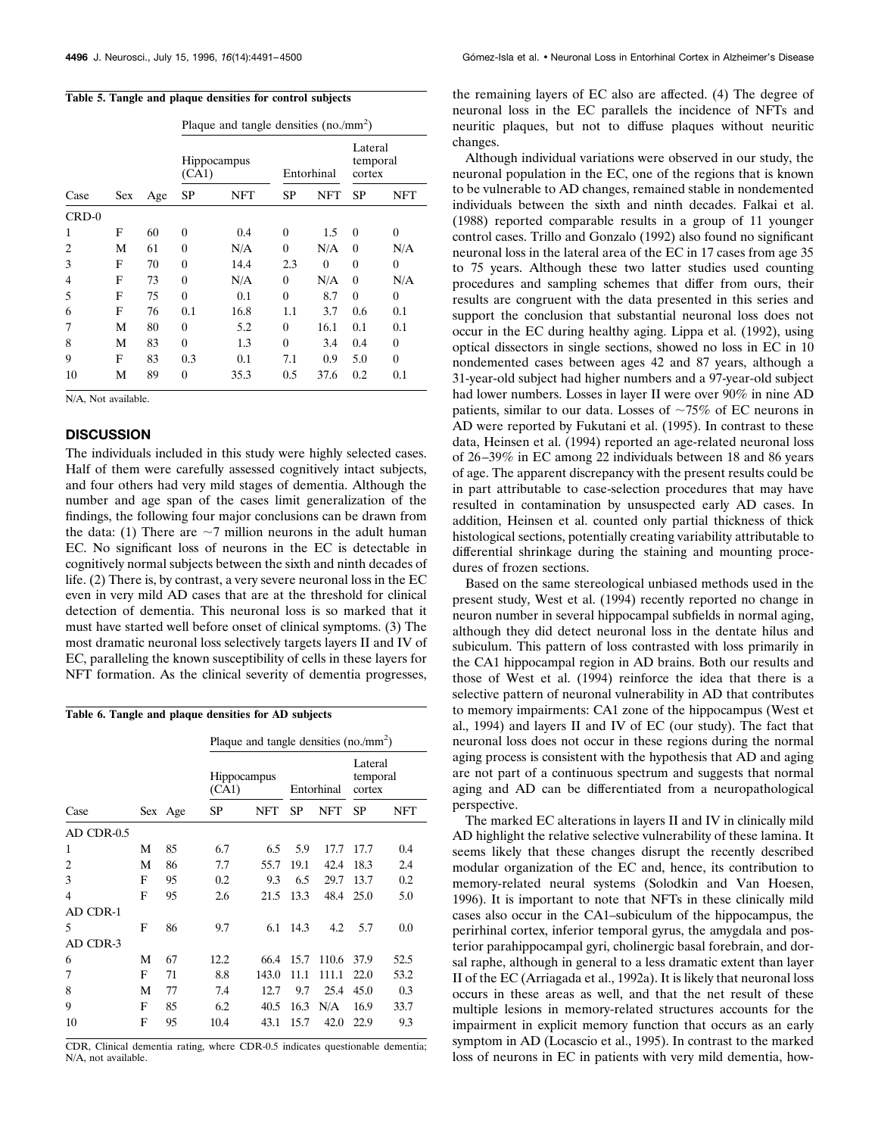|  |  |  | Table 5. Tangle and plaque densities for control subjects |
|--|--|--|-----------------------------------------------------------|
|  |  |  |                                                           |

|         |     |     | Plaque and tangle densities $(no./mm^2)$ |            |           |            |                               |          |  |  |  |
|---------|-----|-----|------------------------------------------|------------|-----------|------------|-------------------------------|----------|--|--|--|
|         |     |     | <b>Hippocampus</b><br>(CA1)              |            |           | Entorhinal | Lateral<br>temporal<br>cortex |          |  |  |  |
| Case    | Sex | Age | SP                                       | <b>NFT</b> | <b>SP</b> | <b>NFT</b> | SP                            | NFT      |  |  |  |
| $CRD-0$ |     |     |                                          |            |           |            |                               |          |  |  |  |
| 1       | F   | 60  | $\theta$                                 | 0.4        | $\theta$  | 1.5        | $\theta$                      | $\theta$ |  |  |  |
| 2       | М   | 61  | $\theta$                                 | N/A        | $\theta$  | N/A        | $\theta$                      | N/A      |  |  |  |
| 3       | F   | 70  | $\theta$                                 | 14.4       | 2.3       | $\theta$   | $\theta$                      | $\theta$ |  |  |  |
| 4       | F   | 73  | $\theta$                                 | N/A        | $\theta$  | N/A        | $\theta$                      | N/A      |  |  |  |
| 5       | F   | 75  | $\theta$                                 | 0.1        | $\Omega$  | 8.7        | $\theta$                      | $\theta$ |  |  |  |
| 6       | F   | 76  | 0.1                                      | 16.8       | $1.1\,$   | 3.7        | 0.6                           | 0.1      |  |  |  |
| 7       | М   | 80  | $\theta$                                 | 5.2        | $\theta$  | 16.1       | 0.1                           | 0.1      |  |  |  |
| 8       | М   | 83  | $\theta$                                 | 1.3        | $\theta$  | 3.4        | 0.4                           | $\theta$ |  |  |  |
| 9       | F   | 83  | 0.3                                      | 0.1        | 7.1       | 0.9        | 5.0                           | $\theta$ |  |  |  |
| 10      | М   | 89  | $\theta$                                 | 35.3       | 0.5       | 37.6       | 0.2                           | 0.1      |  |  |  |

N/A, Not available.

## **DISCUSSION**

The individuals included in this study were highly selected cases. Half of them were carefully assessed cognitively intact subjects, and four others had very mild stages of dementia. Although the number and age span of the cases limit generalization of the findings, the following four major conclusions can be drawn from the data: (1) There are  $\sim$ 7 million neurons in the adult human EC. No significant loss of neurons in the EC is detectable in cognitively normal subjects between the sixth and ninth decades of life. (2) There is, by contrast, a very severe neuronal loss in the EC even in very mild AD cases that are at the threshold for clinical detection of dementia. This neuronal loss is so marked that it must have started well before onset of clinical symptoms. (3) The most dramatic neuronal loss selectively targets layers II and IV of EC, paralleling the known susceptibility of cells in these layers for NFT formation. As the clinical severity of dementia progresses,

**Table 6. Tangle and plaque densities for AD subjects**

|            |   |         | Plaque and tangle densities $(no/mm2)$ |                    |           |            |                               |      |
|------------|---|---------|----------------------------------------|--------------------|-----------|------------|-------------------------------|------|
|            |   |         | (CA1)                                  | <b>Hippocampus</b> |           | Entorhinal | Lateral<br>temporal<br>cortex |      |
| Case       |   | Sex Age | <b>SP</b>                              | NFT                | <b>SP</b> | NFT        | <b>SP</b>                     | NFT  |
| AD CDR-0.5 |   |         |                                        |                    |           |            |                               |      |
| 1          | М | 85      | 6.7                                    | 6.5                | 5.9       | 17.7       | 17.7                          | 0.4  |
| 2          | М | 86      | 7.7                                    | 55.7               | 19.1      | 42.4       | 18.3                          | 2.4  |
| 3          | F | 95      | 0.2                                    | 9.3                | 6.5       | 29.7       | 13.7                          | 0.2  |
| 4          | F | 95      | 2.6                                    | 21.5               | 13.3      | 48.4       | 25.0                          | 5.0  |
| AD CDR-1   |   |         |                                        |                    |           |            |                               |      |
| 5          | F | 86      | 9.7                                    | 6.1                | 14.3      | 4.2        | 5.7                           | 0.0  |
| AD CDR-3   |   |         |                                        |                    |           |            |                               |      |
| 6          | М | 67      | 12.2                                   | 66.4               | 15.7      | 110.6      | 37.9                          | 52.5 |
| 7          | F | 71      | 8.8                                    | 143.0              | 11.1      | 111.1      | 22.0                          | 53.2 |
| 8          | М | 77      | 7.4                                    | 12.7               | 9.7       | 25.4       | 45.0                          | 0.3  |
| 9          | F | 85      | 6.2                                    | 40.5               | 16.3      | N/A        | 16.9                          | 33.7 |
| 10         | F | 95      | 10.4                                   | 43.1               | 15.7      | 42.0       | 22.9                          | 9.3  |
|            |   |         |                                        |                    |           |            |                               |      |

CDR, Clinical dementia rating, where CDR-0.5 indicates questionable dementia; N/A, not available.

the remaining layers of EC also are affected. (4) The degree of neuronal loss in the EC parallels the incidence of NFTs and neuritic plaques, but not to diffuse plaques without neuritic changes.

Although individual variations were observed in our study, the neuronal population in the EC, one of the regions that is known to be vulnerable to AD changes, remained stable in nondemented individuals between the sixth and ninth decades. Falkai et al. (1988) reported comparable results in a group of 11 younger control cases. Trillo and Gonzalo (1992) also found no significant neuronal loss in the lateral area of the EC in 17 cases from age 35 to 75 years. Although these two latter studies used counting procedures and sampling schemes that differ from ours, their results are congruent with the data presented in this series and support the conclusion that substantial neuronal loss does not occur in the EC during healthy aging. Lippa et al. (1992), using optical dissectors in single sections, showed no loss in EC in 10 nondemented cases between ages 42 and 87 years, although a 31-year-old subject had higher numbers and a 97-year-old subject had lower numbers. Losses in layer II were over 90% in nine AD patients, similar to our data. Losses of  $\sim 75\%$  of EC neurons in AD were reported by Fukutani et al. (1995). In contrast to these data, Heinsen et al. (1994) reported an age-related neuronal loss of 26 –39% in EC among 22 individuals between 18 and 86 years of age. The apparent discrepancy with the present results could be in part attributable to case-selection procedures that may have resulted in contamination by unsuspected early AD cases. In addition, Heinsen et al. counted only partial thickness of thick histological sections, potentially creating variability attributable to differential shrinkage during the staining and mounting procedures of frozen sections.

Based on the same stereological unbiased methods used in the present study, West et al. (1994) recently reported no change in neuron number in several hippocampal subfields in normal aging, although they did detect neuronal loss in the dentate hilus and subiculum. This pattern of loss contrasted with loss primarily in the CA1 hippocampal region in AD brains. Both our results and those of West et al. (1994) reinforce the idea that there is a selective pattern of neuronal vulnerability in AD that contributes to memory impairments: CA1 zone of the hippocampus (West et al., 1994) and layers II and IV of EC (our study). The fact that neuronal loss does not occur in these regions during the normal aging process is consistent with the hypothesis that AD and aging are not part of a continuous spectrum and suggests that normal aging and AD can be differentiated from a neuropathological perspective.

The marked EC alterations in layers II and IV in clinically mild AD highlight the relative selective vulnerability of these lamina. It seems likely that these changes disrupt the recently described modular organization of the EC and, hence, its contribution to memory-related neural systems (Solodkin and Van Hoesen, 1996). It is important to note that NFTs in these clinically mild cases also occur in the CA1–subiculum of the hippocampus, the perirhinal cortex, inferior temporal gyrus, the amygdala and posterior parahippocampal gyri, cholinergic basal forebrain, and dorsal raphe, although in general to a less dramatic extent than layer II of the EC (Arriagada et al., 1992a). It is likely that neuronal loss occurs in these areas as well, and that the net result of these multiple lesions in memory-related structures accounts for the impairment in explicit memory function that occurs as an early symptom in AD (Locascio et al., 1995). In contrast to the marked loss of neurons in EC in patients with very mild dementia, how-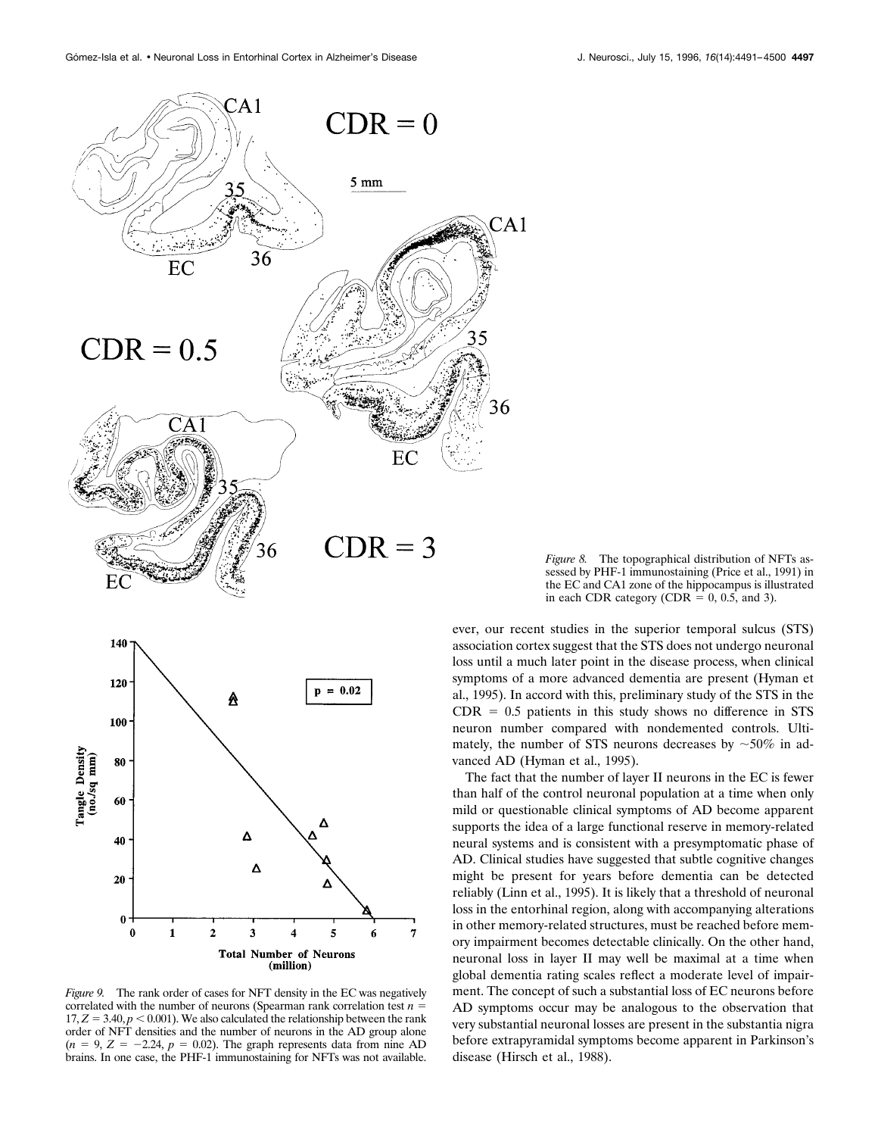



*Figure 9.* The rank order of cases for NFT density in the EC was negatively correlated with the number of neurons (Spearman rank correlation test  $n =$  $17, Z = 3.40, p < 0.001$ ). We also calculated the relationship between the rank order of NFT densities and the number of neurons in the AD group alone  $(n = 9, Z = -2.24, p = 0.02)$ . The graph represents data from nine AD brains. In one case, the PHF-1 immunostaining for NFTs was not available.

*Figure 8.* The topographical distribution of NFTs assessed by PHF-1 immunostaining (Price et al., 1991) in the EC and CA1 zone of the hippocampus is illustrated in each CDR category (CDR =  $0, 0.5$ , and 3).

ever, our recent studies in the superior temporal sulcus (STS) association cortex suggest that the STS does not undergo neuronal loss until a much later point in the disease process, when clinical symptoms of a more advanced dementia are present (Hyman et al., 1995). In accord with this, preliminary study of the STS in the  $CDR = 0.5$  patients in this study shows no difference in STS neuron number compared with nondemented controls. Ultimately, the number of STS neurons decreases by  $\sim 50\%$  in advanced AD (Hyman et al., 1995).

The fact that the number of layer II neurons in the EC is fewer than half of the control neuronal population at a time when only mild or questionable clinical symptoms of AD become apparent supports the idea of a large functional reserve in memory-related neural systems and is consistent with a presymptomatic phase of AD. Clinical studies have suggested that subtle cognitive changes might be present for years before dementia can be detected reliably (Linn et al., 1995). It is likely that a threshold of neuronal loss in the entorhinal region, along with accompanying alterations in other memory-related structures, must be reached before memory impairment becomes detectable clinically. On the other hand, neuronal loss in layer II may well be maximal at a time when global dementia rating scales reflect a moderate level of impairment. The concept of such a substantial loss of EC neurons before AD symptoms occur may be analogous to the observation that very substantial neuronal losses are present in the substantia nigra before extrapyramidal symptoms become apparent in Parkinson's disease (Hirsch et al., 1988).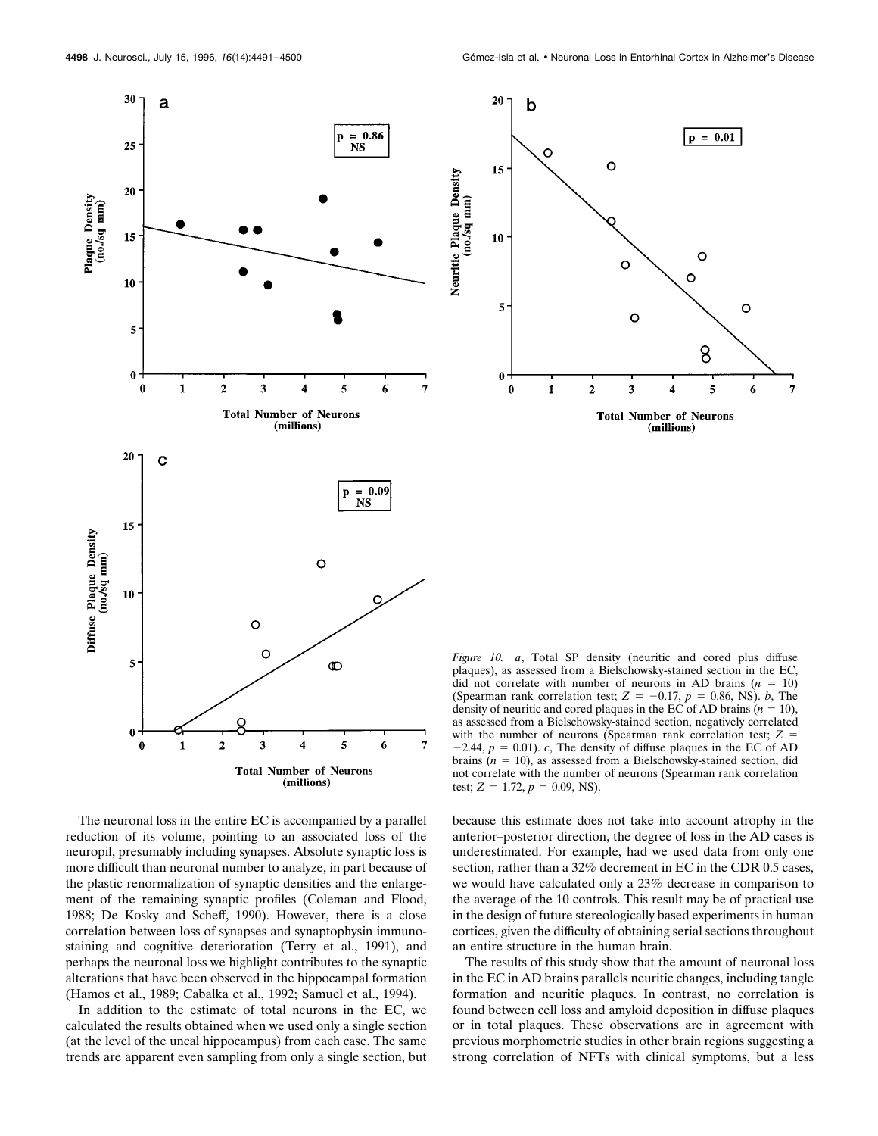$\circ$ 

 $\circ$ 

 $\circ$ 

3

 $\overline{2}$ 

 $p = 0.01$ 

 $\circ$ 

8

4

**Total Number of Neurons** 

(millions)

5

O

6

7

O



The neuronal loss in the entire EC is accompanied by a parallel reduction of its volume, pointing to an associated loss of the neuropil, presumably including synapses. Absolute synaptic loss is more difficult than neuronal number to analyze, in part because of the plastic renormalization of synaptic densities and the enlargement of the remaining synaptic profiles (Coleman and Flood, 1988; De Kosky and Scheff, 1990). However, there is a close correlation between loss of synapses and synaptophysin immunostaining and cognitive deterioration (Terry et al., 1991), and perhaps the neuronal loss we highlight contributes to the synaptic alterations that have been observed in the hippocampal formation (Hamos et al., 1989; Cabalka et al., 1992; Samuel et al., 1994).

In addition to the estimate of total neurons in the EC, we calculated the results obtained when we used only a single section (at the level of the uncal hippocampus) from each case. The same trends are apparent even sampling from only a single section, but

*Figure 10. a*, Total SP density (neuritic and cored plus diffuse plaques), as assessed from a Bielschowsky-stained section in the EC, did not correlate with number of neurons in AD brains  $(n = 10)$ (Spearman rank correlation test;  $Z = -0.17$ ,  $p = 0.86$ , NS). *b*, The density of neuritic and cored plaques in the EC of AD brains  $(n = 10)$ , as assessed from a Bielschowsky-stained section, negatively correlated with the number of neurons (Spearman rank correlation test;  $Z =$  $-2.44$ ,  $p = 0.01$ ). *c*, The density of diffuse plaques in the EC of AD brains  $(n = 10)$ , as assessed from a Bielschowsky-stained section, did not correlate with the number of neurons (Spearman rank correlation test;  $Z = 1.72$ ,  $p = 0.09$ , NS).

because this estimate does not take into account atrophy in the anterior–posterior direction, the degree of loss in the AD cases is underestimated. For example, had we used data from only one section, rather than a 32% decrement in EC in the CDR 0.5 cases, we would have calculated only a 23% decrease in comparison to the average of the 10 controls. This result may be of practical use in the design of future stereologically based experiments in human cortices, given the difficulty of obtaining serial sections throughout an entire structure in the human brain.

The results of this study show that the amount of neuronal loss in the EC in AD brains parallels neuritic changes, including tangle formation and neuritic plaques. In contrast, no correlation is found between cell loss and amyloid deposition in diffuse plaques or in total plaques. These observations are in agreement with previous morphometric studies in other brain regions suggesting a strong correlation of NFTs with clinical symptoms, but a less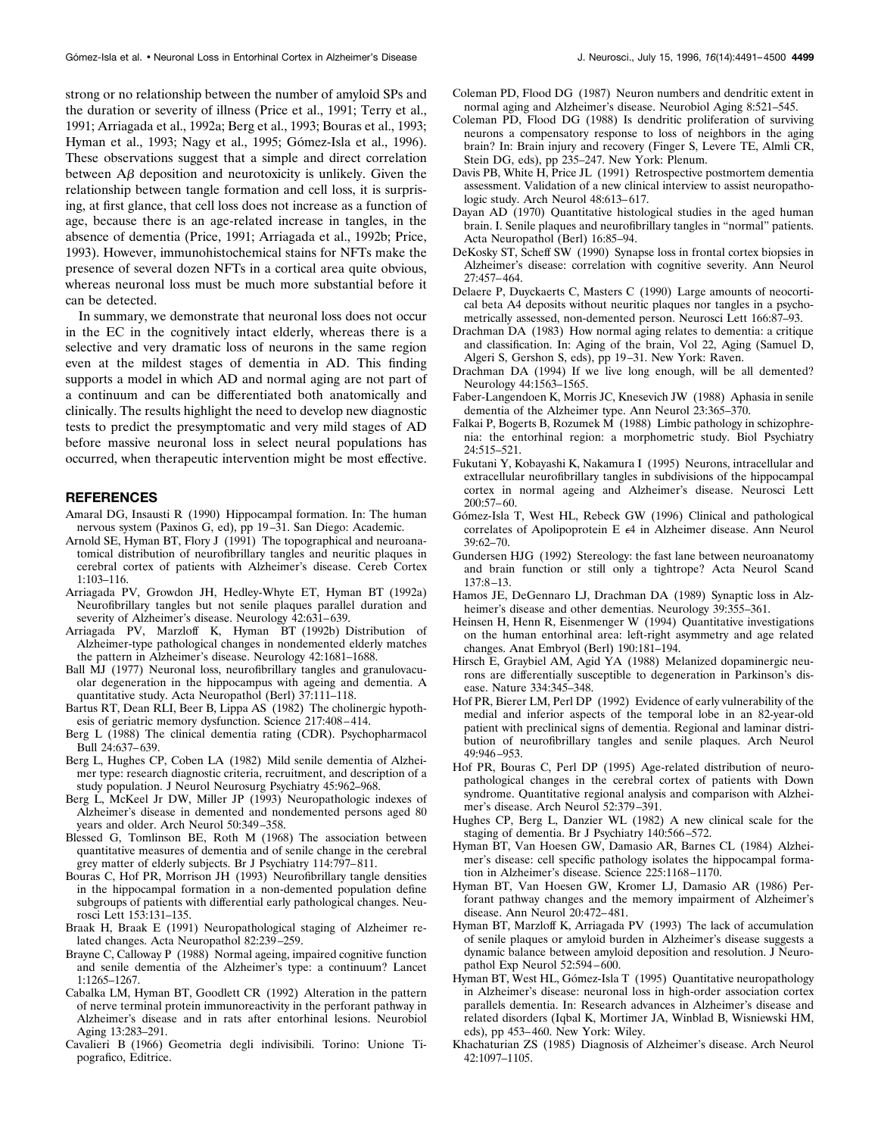strong or no relationship between the number of amyloid SPs and the duration or severity of illness (Price et al., 1991; Terry et al., 1991; Arriagada et al., 1992a; Berg et al., 1993; Bouras et al., 1993; Hyman et al., 1993; Nagy et al., 1995; Gómez-Isla et al., 1996). These observations suggest that a simple and direct correlation between  $\Delta\beta$  deposition and neurotoxicity is unlikely. Given the relationship between tangle formation and cell loss, it is surprising, at first glance, that cell loss does not increase as a function of age, because there is an age-related increase in tangles, in the absence of dementia (Price, 1991; Arriagada et al., 1992b; Price, 1993). However, immunohistochemical stains for NFTs make the presence of several dozen NFTs in a cortical area quite obvious, whereas neuronal loss must be much more substantial before it can be detected.

In summary, we demonstrate that neuronal loss does not occur in the EC in the cognitively intact elderly, whereas there is a selective and very dramatic loss of neurons in the same region even at the mildest stages of dementia in AD. This finding supports a model in which AD and normal aging are not part of a continuum and can be differentiated both anatomically and clinically. The results highlight the need to develop new diagnostic tests to predict the presymptomatic and very mild stages of AD before massive neuronal loss in select neural populations has occurred, when therapeutic intervention might be most effective.

## **REFERENCES**

- Amaral DG, Insausti R (1990) Hippocampal formation. In: The human nervous system (Paxinos G, ed), pp 19 –31. San Diego: Academic.
- Arnold SE, Hyman BT, Flory J (1991) The topographical and neuroanatomical distribution of neurofibrillary tangles and neuritic plaques in cerebral cortex of patients with Alzheimer's disease. Cereb Cortex 1:103–116.
- Arriagada PV, Growdon JH, Hedley-Whyte ET, Hyman BT (1992a) Neurofibrillary tangles but not senile plaques parallel duration and severity of Alzheimer's disease. Neurology 42:631-639.
- Arriagada PV, Marzloff K, Hyman BT (1992b) Distribution of Alzheimer-type pathological changes in nondemented elderly matches the pattern in Alzheimer's disease. Neurology 42:1681–1688.
- Ball MJ (1977) Neuronal loss, neurofibrillary tangles and granulovacuolar degeneration in the hippocampus with ageing and dementia. A quantitative study. Acta Neuropathol (Berl) 37:111–118.
- Bartus RT, Dean RLI, Beer B, Lippa AS (1982) The cholinergic hypothesis of geriatric memory dysfunction. Science 217:408 – 414.
- Berg L (1988) The clinical dementia rating (CDR). Psychopharmacol  $\overline{\text{Bulk 24:637-639}}$ .
- Berg L, Hughes CP, Coben LA (1982) Mild senile dementia of Alzheimer type: research diagnostic criteria, recruitment, and description of a study population. J Neurol Neurosurg Psychiatry 45:962-968.
- Berg L, McKeel Jr DW, Miller JP (1993) Neuropathologic indexes of Alzheimer's disease in demented and nondemented persons aged 80 years and older. Arch Neurol 50:349 –358.
- Blessed G, Tomlinson BE, Roth M (1968) The association between quantitative measures of dementia and of senile change in the cerebral grey matter of elderly subjects. Br J Psychiatry 114:797– 811.
- Bouras C, Hof PR, Morrison JH (1993) Neurofibrillary tangle densities in the hippocampal formation in a non-demented population define subgroups of patients with differential early pathological changes. Neurosci Lett 153:131–135.
- Braak H, Braak E (1991) Neuropathological staging of Alzheimer related changes. Acta Neuropathol 82:239 –259.
- Brayne C, Calloway P (1988) Normal ageing, impaired cognitive function and senile dementia of the Alzheimer's type: a continuum? Lancet 1:1265–1267.
- Cabalka LM, Hyman BT, Goodlett CR (1992) Alteration in the pattern of nerve terminal protein immunoreactivity in the perforant pathway in Alzheimer's disease and in rats after entorhinal lesions. Neurobiol Aging 13:283–291.
- Cavalieri B (1966) Geometria degli indivisibili. Torino: Unione Tipografico, Editrice.
- Coleman PD, Flood DG (1987) Neuron numbers and dendritic extent in normal aging and Alzheimer's disease. Neurobiol Aging 8:521–545.
- Coleman PD, Flood DG (1988) Is dendritic proliferation of surviving neurons a compensatory response to loss of neighbors in the aging brain? In: Brain injury and recovery (Finger S, Levere TE, Almli CR, Stein DG, eds), pp 235–247. New York: Plenum.
- Davis PB, White H, Price JL (1991) Retrospective postmortem dementia assessment. Validation of a new clinical interview to assist neuropathologic study. Arch Neurol 48:613-617.
- Dayan AD (1970) Quantitative histological studies in the aged human brain. I. Senile plaques and neurofibrillary tangles in "normal" patients. Acta Neuropathol (Berl) 16:85–94.
- DeKosky ST, Scheff SW (1990) Synapse loss in frontal cortex biopsies in Alzheimer's disease: correlation with cognitive severity. Ann Neurol 27:457– 464.
- Delaere P, Duyckaerts C, Masters C (1990) Large amounts of neocortical beta A4 deposits without neuritic plaques nor tangles in a psychometrically assessed, non-demented person. Neurosci Lett 166:87–93.
- Drachman DA (1983) How normal aging relates to dementia: a critique and classification. In: Aging of the brain, Vol 22, Aging (Samuel D, Algeri S, Gershon S, eds), pp 19 –31. New York: Raven.
- Drachman DA (1994) If we live long enough, will be all demented? Neurology 44:1563–1565.
- Faber-Langendoen K, Morris JC, Knesevich JW (1988) Aphasia in senile dementia of the Alzheimer type. Ann Neurol 23:365–370.
- Falkai P, Bogerts B, Rozumek M (1988) Limbic pathology in schizophrenia: the entorhinal region: a morphometric study. Biol Psychiatry 24:515–521.
- Fukutani Y, Kobayashi K, Nakamura I (1995) Neurons, intracellular and extracellular neurofibrillary tangles in subdivisions of the hippocampal cortex in normal ageing and Alzheimer's disease. Neurosci Lett 200:57– 60.
- Gómez-Isla T, West HL, Rebeck GW (1996) Clinical and pathological correlates of Apolipoprotein E <sup>e</sup>4 in Alzheimer disease. Ann Neurol 39:62–70.
- Gundersen HJG (1992) Stereology: the fast lane between neuroanatomy and brain function or still only a tightrope? Acta Neurol Scand 137:8 –13.
- Hamos JE, DeGennaro LJ, Drachman DA (1989) Synaptic loss in Alzheimer's disease and other dementias. Neurology 39:355–361.
- Heinsen H, Henn R, Eisenmenger W (1994) Quantitative investigations on the human entorhinal area: left-right asymmetry and age related changes. Anat Embryol (Berl) 190:181–194.
- Hirsch E, Graybiel AM, Agid YA (1988) Melanized dopaminergic neurons are differentially susceptible to degeneration in Parkinson's disease. Nature 334:345–348.
- Hof PR, Bierer LM, Perl DP (1992) Evidence of early vulnerability of the medial and inferior aspects of the temporal lobe in an 82-year-old patient with preclinical signs of dementia. Regional and laminar distribution of neurofibrillary tangles and senile plaques. Arch Neurol 49:946 –953.
- Hof PR, Bouras C, Perl DP (1995) Age-related distribution of neuropathological changes in the cerebral cortex of patients with Down syndrome. Quantitative regional analysis and comparison with Alzheimer's disease. Arch Neurol 52:379 –391.
- Hughes CP, Berg L, Danzier WL (1982) A new clinical scale for the staging of dementia. Br J Psychiatry 140:566 –572.
- Hyman BT, Van Hoesen GW, Damasio AR, Barnes CL (1984) Alzheimer's disease: cell specific pathology isolates the hippocampal formation in Alzheimer's disease. Science 225:1168 –1170.
- Hyman BT, Van Hoesen GW, Kromer LJ, Damasio AR (1986) Perforant pathway changes and the memory impairment of Alzheimer's disease. Ann Neurol 20:472– 481.
- Hyman BT, Marzloff K, Arriagada PV (1993) The lack of accumulation of senile plaques or amyloid burden in Alzheimer's disease suggests a dynamic balance between amyloid deposition and resolution. J Neuropathol Exp Neurol 52:594 – 600.
- Hyman BT, West HL, Gómez-Isla T (1995) Quantitative neuropathology in Alzheimer's disease: neuronal loss in high-order association cortex parallels dementia. In: Research advances in Alzheimer's disease and related disorders (Iqbal K, Mortimer JA, Winblad B, Wisniewski HM, eds), pp 453– 460. New York: Wiley.
- Khachaturian ZS (1985) Diagnosis of Alzheimer's disease. Arch Neurol 42:1097–1105.